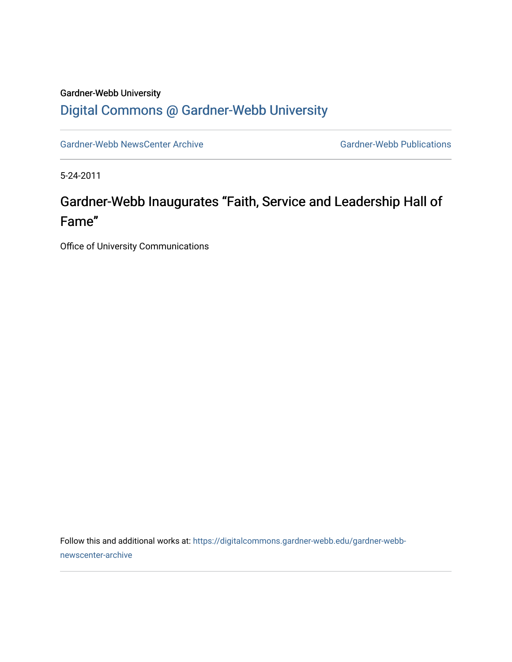### Gardner-Webb University [Digital Commons @ Gardner-Webb University](https://digitalcommons.gardner-webb.edu/)

[Gardner-Webb NewsCenter Archive](https://digitalcommons.gardner-webb.edu/gardner-webb-newscenter-archive) Gardner-Webb Publications

5-24-2011

# Gardner-Webb Inaugurates "Faith, Service and Leadership Hall of Fame"

Office of University Communications

Follow this and additional works at: [https://digitalcommons.gardner-webb.edu/gardner-webb](https://digitalcommons.gardner-webb.edu/gardner-webb-newscenter-archive?utm_source=digitalcommons.gardner-webb.edu%2Fgardner-webb-newscenter-archive%2F2082&utm_medium=PDF&utm_campaign=PDFCoverPages)[newscenter-archive](https://digitalcommons.gardner-webb.edu/gardner-webb-newscenter-archive?utm_source=digitalcommons.gardner-webb.edu%2Fgardner-webb-newscenter-archive%2F2082&utm_medium=PDF&utm_campaign=PDFCoverPages)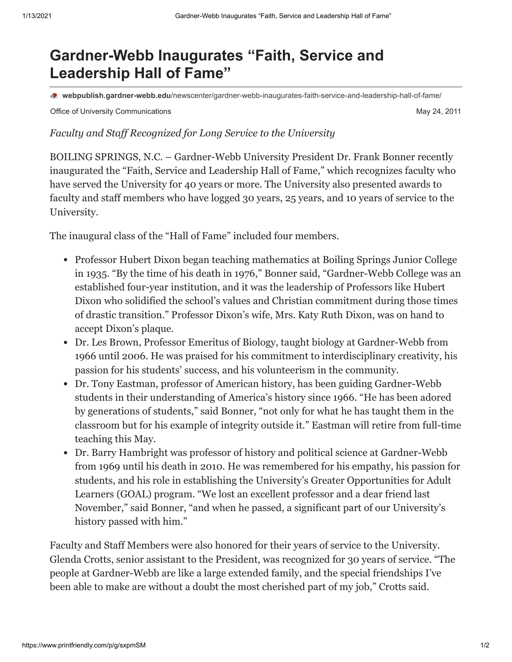## **Gardner-Webb Inaugurates "Faith, Service and Leadership Hall of Fame"**

**webpublish.gardner-webb.edu**[/newscenter/gardner-webb-inaugurates-faith-service-and-leadership-hall-of-fame/](https://webpublish.gardner-webb.edu/newscenter/gardner-webb-inaugurates-faith-service-and-leadership-hall-of-fame/)

Office of University Communications **May 24, 2011** Communications May 24, 2011

#### *Faculty and Staff Recognized for Long Service to the University*

BOILING SPRINGS, N.C. – Gardner-Webb University President Dr. Frank Bonner recently inaugurated the "Faith, Service and Leadership Hall of Fame," which recognizes faculty who have served the University for 40 years or more. The University also presented awards to faculty and staff members who have logged 30 years, 25 years, and 10 years of service to the University.

The inaugural class of the "Hall of Fame" included four members.

- Professor Hubert Dixon began teaching mathematics at Boiling Springs Junior College in 1935. "By the time of his death in 1976," Bonner said, "Gardner-Webb College was an established four-year institution, and it was the leadership of Professors like Hubert Dixon who solidified the school's values and Christian commitment during those times of drastic transition." Professor Dixon's wife, Mrs. Katy Ruth Dixon, was on hand to accept Dixon's plaque.
- Dr. Les Brown, Professor Emeritus of Biology, taught biology at Gardner-Webb from 1966 until 2006. He was praised for his commitment to interdisciplinary creativity, his passion for his students' success, and his volunteerism in the community.
- Dr. Tony Eastman, professor of American history, has been guiding Gardner-Webb students in their understanding of America's history since 1966. "He has been adored by generations of students," said Bonner, "not only for what he has taught them in the classroom but for his example of integrity outside it." Eastman will retire from full-time teaching this May.
- Dr. Barry Hambright was professor of history and political science at Gardner-Webb from 1969 until his death in 2010. He was remembered for his empathy, his passion for students, and his role in establishing the University's Greater Opportunities for Adult Learners (GOAL) program. "We lost an excellent professor and a dear friend last November," said Bonner, "and when he passed, a significant part of our University's history passed with him."

Faculty and Staff Members were also honored for their years of service to the University. Glenda Crotts, senior assistant to the President, was recognized for 30 years of service. "The people at Gardner-Webb are like a large extended family, and the special friendships I've been able to make are without a doubt the most cherished part of my job," Crotts said.